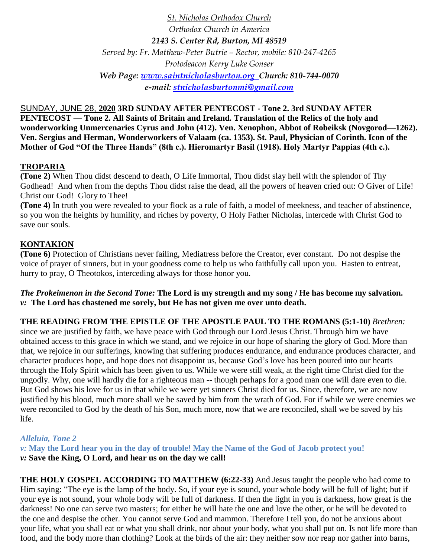*St. Nicholas Orthodox Church Orthodox Church in America 2143 S. Center Rd, Burton, MI 48519 Served by: Fr. Matthew-Peter Butrie – Rector, mobile: 810-247-4265 Protodeacon Kerry Luke Gonser Web Page: [www.saintnicholasburton.org](http://www.saintnicholasburton.org/) Church: 810-744-0070 e-mail: [stnicholasburtonmi@gmail.com](mailto:stnicholasburtonmi@gmail.com)*

SUNDAY, JUNE 28, **2020 3RD SUNDAY AFTER PENTECOST - Tone 2. 3rd SUNDAY AFTER PENTECOST — Tone 2. All Saints of Britain and Ireland. Translation of the Relics of the holy and wonderworking Unmercenaries Cyrus and John (412). Ven. Xenophon, Abbot of Robeiksk (Novgorod—1262). Ven. Sergius and Herman, Wonderworkers of Valaam (ca. 1353). St. Paul, Physician of Corinth. Icon of the Mother of God "Of the Three Hands" (8th c.). Hieromartyr Basil (1918). Holy Martyr Pappias (4th c.).**

# **TROPARIA**

**(Tone 2)** When Thou didst descend to death, O Life Immortal, Thou didst slay hell with the splendor of Thy Godhead! And when from the depths Thou didst raise the dead, all the powers of heaven cried out: O Giver of Life! Christ our God! Glory to Thee!

**(Tone 4)** In truth you were revealed to your flock as a rule of faith, a model of meekness, and teacher of abstinence, so you won the heights by humility, and riches by poverty, O Holy Father Nicholas, intercede with Christ God to save our souls.

# **KONTAKION**

**(Tone 6)** Protection of Christians never failing, Mediatress before the Creator, ever constant. Do not despise the voice of prayer of sinners, but in your goodness come to help us who faithfully call upon you. Hasten to entreat, hurry to pray, O Theotokos, interceding always for those honor you.

*The Prokeimenon in the Second Tone:* **The Lord is my strength and my song / He has become my salvation.**  *v:* **The Lord has chastened me sorely, but He has not given me over unto death.**

**THE READING FROM THE EPISTLE OF THE APOSTLE PAUL TO THE ROMANS (5:1-10)** *Brethren:* 

since we are justified by faith, we have peace with God through our Lord Jesus Christ. Through him we have obtained access to this grace in which we stand, and we rejoice in our hope of sharing the glory of God. More than that, we rejoice in our sufferings, knowing that suffering produces endurance, and endurance produces character, and character produces hope, and hope does not disappoint us, because God's love has been poured into our hearts through the Holy Spirit which has been given to us. While we were still weak, at the right time Christ died for the ungodly. Why, one will hardly die for a righteous man -- though perhaps for a good man one will dare even to die. But God shows his love for us in that while we were yet sinners Christ died for us. Since, therefore, we are now justified by his blood, much more shall we be saved by him from the wrath of God. For if while we were enemies we were reconciled to God by the death of his Son, much more, now that we are reconciled, shall we be saved by his life.

# *Alleluia, Tone 2*

*v:* **May the Lord hear you in the day of trouble! May the Name of the God of Jacob protect you!** *v:* **Save the King, O Lord, and hear us on the day we call!**

**THE HOLY GOSPEL ACCORDING TO MATTHEW (6:22-33)** And Jesus taught the people who had come to Him saying: "The eye is the lamp of the body. So, if your eye is sound, your whole body will be full of light; but if your eye is not sound, your whole body will be full of darkness. If then the light in you is darkness, how great is the darkness! No one can serve two masters; for either he will hate the one and love the other, or he will be devoted to the one and despise the other. You cannot serve God and mammon. Therefore I tell you, do not be anxious about your life, what you shall eat or what you shall drink, nor about your body, what you shall put on. Is not life more than food, and the body more than clothing? Look at the birds of the air: they neither sow nor reap nor gather into barns,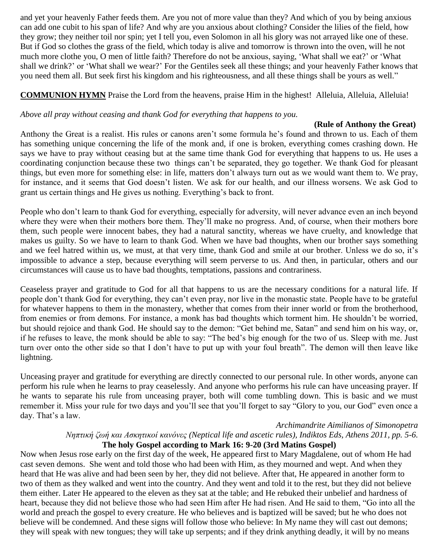and yet your heavenly Father feeds them. Are you not of more value than they? And which of you by being anxious can add one cubit to his span of life? And why are you anxious about clothing? Consider the lilies of the field, how they grow; they neither toil nor spin; yet I tell you, even Solomon in all his glory was not arrayed like one of these. But if God so clothes the grass of the field, which today is alive and tomorrow is thrown into the oven, will he not much more clothe you, O men of little faith? Therefore do not be anxious, saying, 'What shall we eat?' or 'What shall we drink?' or 'What shall we wear?' For the Gentiles seek all these things; and your heavenly Father knows that you need them all. But seek first his kingdom and his righteousness, and all these things shall be yours as well."

# **COMMUNION HYMN** Praise the Lord from the heavens, praise Him in the highest! Alleluia, Alleluia, Alleluia!

## *Above all pray without ceasing and thank God for everything that happens to you.*

### **(Rule of Anthony the Great)**

Anthony the Great is a realist. His rules or canons aren't some formula he's found and thrown to us. Each of them has something unique concerning the life of the monk and, if one is broken, everything comes crashing down. He says we have to pray without ceasing but at the same time thank God for everything that happens to us. He uses a coordinating conjunction because these two things can't be separated, they go together. We thank God for pleasant things, but even more for something else: in life, matters don't always turn out as we would want them to. We pray, for instance, and it seems that God doesn't listen. We ask for our health, and our illness worsens. We ask God to grant us certain things and He gives us nothing. Everything's back to front.

People who don't learn to thank God for everything, especially for adversity, will never advance even an inch beyond where they were when their mothers bore them. They'll make no progress. And, of course, when their mothers bore them, such people were innocent babes, they had a natural sanctity, whereas we have cruelty, and knowledge that makes us guilty. So we have to learn to thank God. When we have bad thoughts, when our brother says something and we feel hatred within us, we must, at that very time, thank God and smile at our brother. Unless we do so, it's impossible to advance a step, because everything will seem perverse to us. And then, in particular, others and our circumstances will cause us to have bad thoughts, temptations, passions and contrariness.

Ceaseless prayer and gratitude to God for all that happens to us are the necessary conditions for a natural life. If people don't thank God for everything, they can't even pray, nor live in the monastic state. People have to be grateful for whatever happens to them in the monastery, whether that comes from their inner world or from the brotherhood, from enemies or from demons. For instance, a monk has bad thoughts which torment him. He shouldn't be worried, but should rejoice and thank God. He should say to the demon: "Get behind me, Satan" and send him on his way, or, if he refuses to leave, the monk should be able to say: "The bed's big enough for the two of us. Sleep with me. Just turn over onto the other side so that I don't have to put up with your foul breath". The demon will then leave like lightning.

Unceasing prayer and gratitude for everything are directly connected to our personal rule. In other words, anyone can perform his rule when he learns to pray ceaselessly. And anyone who performs his rule can have unceasing prayer. If he wants to separate his rule from unceasing prayer, both will come tumbling down. This is basic and we must remember it. Miss your rule for two days and you'll see that you'll forget to say "Glory to you, our God" even once a day. That's a law.

### *Archimandrite Aimilianos of Simonopetra*

*Νηπτική ζωή και Ασκητικοί κανόνες (Neptical life and ascetic rules), Indiktos Eds, Athens 2011, pp. 5-6.* **The holy Gospel according to Mark 16: 9-20 (3rd Matins Gospel)**

Now when Jesus rose early on the first day of the week, He appeared first to Mary Magdalene, out of whom He had cast seven demons. She went and told those who had been with Him, as they mourned and wept. And when they heard that He was alive and had been seen by her, they did not believe. After that, He appeared in another form to two of them as they walked and went into the country. And they went and told it to the rest, but they did not believe them either. Later He appeared to the eleven as they sat at the table; and He rebuked their unbelief and hardness of heart, because they did not believe those who had seen Him after He had risen. And He said to them, "Go into all the world and preach the gospel to every creature. He who believes and is baptized will be saved; but he who does not believe will be condemned. And these signs will follow those who believe: In My name they will cast out demons; they will speak with new tongues; they will take up serpents; and if they drink anything deadly, it will by no means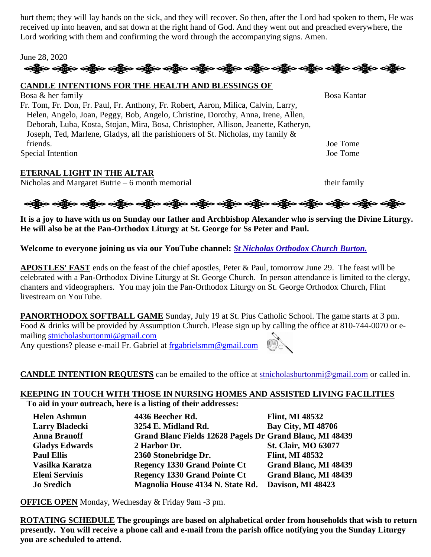hurt them; they will lay hands on the sick, and they will recover. So then, after the Lord had spoken to them, He was received up into heaven, and sat down at the right hand of God. And they went out and preached everywhere, the Lord working with them and confirming the word through the accompanying signs. Amen.

### June 28, 2020

# ઓફ્રેન્ડ ઓફ્રેન્ડ ઓફ્રેન્ડ એફ્રેન્ડ ઓફ્રેન્ડ ઓફ્રેન્ડ ઓફ્રેન્ડ ઓફ્રેન્ડ ઓફ્રિન્ડ ઓફ્રિન્ડ ઓફ્રિન્ડ ઓફ્રિન્ડ ઓફ

#### **CANDLE INTENTIONS FOR THE HEALTH AND BLESSINGS OF**

Bosa & her family Bosa Kantar Fr. Tom, Fr. Don, Fr. Paul, Fr. Anthony, Fr. Robert, Aaron, Milica, Calvin, Larry, Helen, Angelo, Joan, Peggy, Bob, Angelo, Christine, Dorothy, Anna, Irene, Allen, Deborah, Luba, Kosta, Stojan, Mira, Bosa, Christopher, Allison, Jeanette, Katheryn, Joseph, Ted, Marlene, Gladys, all the parishioners of St. Nicholas, my family & friends. Joe Tome Special Intention Joe Tome

### **ETERNAL LIGHT IN THE ALTAR**

Nicholas and Margaret Butrie – 6 month memorial their family

ခရွိက ခရွိက ခရွိက ခရွိက အိုင်း အိုင်း ခရွိက ခရွိက ခရွိက ခရွိက ခရွိက ခရွိက ခရွိက ခရွိက ခရွိက ခရွိက

**It is a joy to have with us on Sunday our father and Archbishop Alexander who is serving the Divine Liturgy. He will also be at the Pan-Orthodox Liturgy at St. George for Ss Peter and Paul.**

**Welcome to everyone joining us via our YouTube channel:** *[St Nicholas Orthodox Church Burton.](https://www.youtube.com/channel/UC59tV-Re443z-GCoETAUvfA)* 

**APOSTLES' FAST** ends on the feast of the chief apostles, Peter & Paul, tomorrow June 29. The feast will be celebrated with a Pan-Orthodox Divine Liturgy at St. George Church. In person attendance is limited to the clergy, chanters and videographers. You may join the Pan-Orthodox Liturgy on St. George Orthodox Church, Flint livestream on YouTube.

**PANORTHODOX SOFTBALL GAME** Sunday, July 19 at St. Pius Catholic School. The game starts at 3 pm. Food & drinks will be provided by Assumption Church. Please sign up by calling the office at 810-744-0070 or emailing [stnicholasburtonmi@gmail.com](mailto:stnicholasburtonmi@gmail.com)

Any questions? please e-mail Fr. Gabriel at [frgabrielsmm@gmail.com](mailto:frgabrielsmm@gmail.com)

**CANDLE INTENTION REQUESTS** can be emailed to the office at [stnicholasburtonmi@gmail.com](mailto:stnicholasburtonmi@gmail.com) or called in.

## **KEEPING IN TOUCH WITH THOSE IN NURSING HOMES AND ASSISTED LIVING FACILITIES**

**To aid in your outreach, here is a listing of their addresses:**

| <b>Helen Ashmun</b>   | 4436 Beecher Rd.                                         | <b>Flint, MI 48532</b>       |
|-----------------------|----------------------------------------------------------|------------------------------|
| <b>Larry Bladecki</b> | 3254 E. Midland Rd.                                      | <b>Bay City, MI 48706</b>    |
| <b>Anna Branoff</b>   | Grand Blanc Fields 12628 Pagels Dr Grand Blanc, MI 48439 |                              |
| <b>Gladys Edwards</b> | 2 Harbor Dr.                                             | <b>St. Clair, MO 63077</b>   |
| <b>Paul Ellis</b>     | 2360 Stonebridge Dr.                                     | <b>Flint, MI 48532</b>       |
| Vasilka Karatza       | <b>Regency 1330 Grand Pointe Ct</b>                      | <b>Grand Blanc, MI 48439</b> |
| <b>Eleni Servinis</b> | <b>Regency 1330 Grand Pointe Ct</b>                      | <b>Grand Blanc, MI 48439</b> |
| <b>Jo Sredich</b>     | Magnolia House 4134 N. State Rd.                         | Davison, MI 48423            |

**OFFICE OPEN** Monday, Wednesday & Friday 9am -3 pm.

**ROTATING SCHEDULE The groupings are based on alphabetical order from households that wish to return presently. You will receive a phone call and e-mail from the parish office notifying you the Sunday Liturgy you are scheduled to attend.**